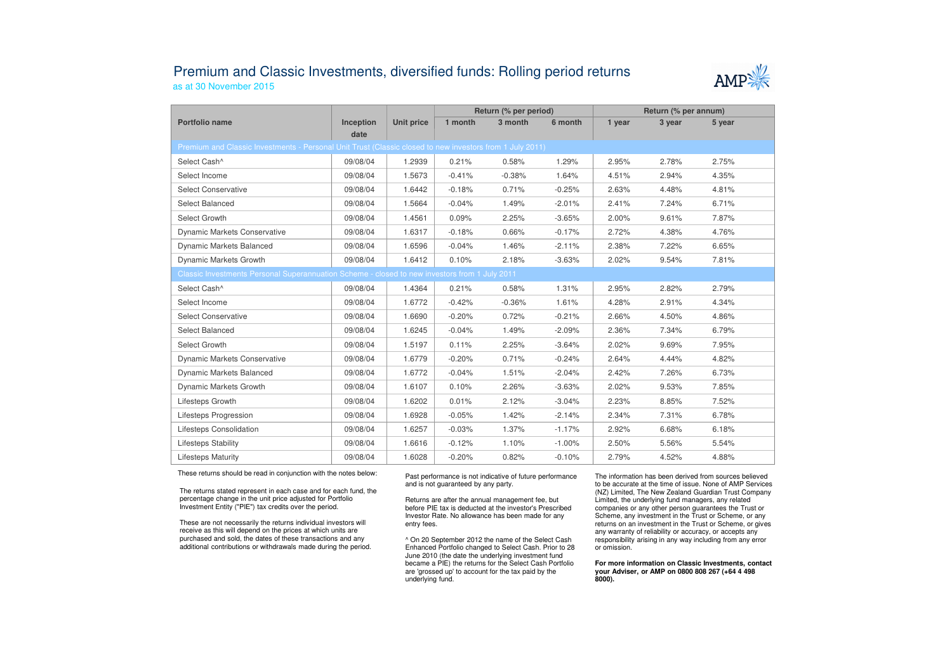## Premium and Classic Investments, diversified funds: Rolling period returnsas at 30 November 2015



|                                                                                                          |                   |                   | Return (% per period) |          |          | Return (% per annum) |        |        |  |  |  |
|----------------------------------------------------------------------------------------------------------|-------------------|-------------------|-----------------------|----------|----------|----------------------|--------|--------|--|--|--|
| Portfolio name                                                                                           | Inception<br>date | <b>Unit price</b> | 1 month               | 3 month  | 6 month  | 1 year               | 3 year | 5 year |  |  |  |
| Premium and Classic Investments - Personal Unit Trust (Classic closed to new investors from 1 July 2011) |                   |                   |                       |          |          |                      |        |        |  |  |  |
| Select Cash^                                                                                             | 09/08/04          | 1.2939            | 0.21%                 | 0.58%    | 1.29%    | 2.95%                | 2.78%  | 2.75%  |  |  |  |
| Select Income                                                                                            | 09/08/04          | 1.5673            | $-0.41%$              | $-0.38%$ | 1.64%    | 4.51%                | 2.94%  | 4.35%  |  |  |  |
| <b>Select Conservative</b>                                                                               | 09/08/04          | 1.6442            | $-0.18%$              | 0.71%    | $-0.25%$ | 2.63%                | 4.48%  | 4.81%  |  |  |  |
| Select Balanced                                                                                          | 09/08/04          | 1.5664            | $-0.04%$              | 1.49%    | $-2.01%$ | 2.41%                | 7.24%  | 6.71%  |  |  |  |
| Select Growth                                                                                            | 09/08/04          | 1.4561            | 0.09%                 | 2.25%    | $-3.65%$ | 2.00%                | 9.61%  | 7.87%  |  |  |  |
| <b>Dynamic Markets Conservative</b>                                                                      | 09/08/04          | 1.6317            | $-0.18%$              | 0.66%    | $-0.17%$ | 2.72%                | 4.38%  | 4.76%  |  |  |  |
| <b>Dynamic Markets Balanced</b>                                                                          | 09/08/04          | 1.6596            | $-0.04%$              | 1.46%    | $-2.11%$ | 2.38%                | 7.22%  | 6.65%  |  |  |  |
| Dynamic Markets Growth                                                                                   | 09/08/04          | 1.6412            | 0.10%                 | 2.18%    | $-3.63%$ | 2.02%                | 9.54%  | 7.81%  |  |  |  |
| Classic Investments Personal Superannuation Scheme - closed to new investors from 1 July 2011            |                   |                   |                       |          |          |                      |        |        |  |  |  |
| Select Cash^                                                                                             | 09/08/04          | 1.4364            | 0.21%                 | 0.58%    | 1.31%    | 2.95%                | 2.82%  | 2.79%  |  |  |  |
| Select Income                                                                                            | 09/08/04          | 1.6772            | $-0.42%$              | $-0.36%$ | 1.61%    | 4.28%                | 2.91%  | 4.34%  |  |  |  |
| <b>Select Conservative</b>                                                                               | 09/08/04          | 1.6690            | $-0.20%$              | 0.72%    | $-0.21%$ | 2.66%                | 4.50%  | 4.86%  |  |  |  |
| Select Balanced                                                                                          | 09/08/04          | 1.6245            | $-0.04%$              | 1.49%    | $-2.09%$ | 2.36%                | 7.34%  | 6.79%  |  |  |  |
| Select Growth                                                                                            | 09/08/04          | 1.5197            | 0.11%                 | 2.25%    | $-3.64%$ | 2.02%                | 9.69%  | 7.95%  |  |  |  |
| <b>Dynamic Markets Conservative</b>                                                                      | 09/08/04          | 1.6779            | $-0.20%$              | 0.71%    | $-0.24%$ | 2.64%                | 4.44%  | 4.82%  |  |  |  |
| Dynamic Markets Balanced                                                                                 | 09/08/04          | 1.6772            | $-0.04%$              | 1.51%    | $-2.04%$ | 2.42%                | 7.26%  | 6.73%  |  |  |  |
| Dynamic Markets Growth                                                                                   | 09/08/04          | 1.6107            | 0.10%                 | 2.26%    | $-3.63%$ | 2.02%                | 9.53%  | 7.85%  |  |  |  |
| Lifesteps Growth                                                                                         | 09/08/04          | 1.6202            | 0.01%                 | 2.12%    | $-3.04%$ | 2.23%                | 8.85%  | 7.52%  |  |  |  |
| Lifesteps Progression                                                                                    | 09/08/04          | 1.6928            | $-0.05%$              | 1.42%    | $-2.14%$ | 2.34%                | 7.31%  | 6.78%  |  |  |  |
| Lifesteps Consolidation                                                                                  | 09/08/04          | 1.6257            | $-0.03%$              | 1.37%    | $-1.17%$ | 2.92%                | 6.68%  | 6.18%  |  |  |  |
| Lifesteps Stability                                                                                      | 09/08/04          | 1.6616            | $-0.12%$              | 1.10%    | $-1.00%$ | 2.50%                | 5.56%  | 5.54%  |  |  |  |
| <b>Lifesteps Maturity</b>                                                                                | 09/08/04          | 1.6028            | $-0.20%$              | 0.82%    | $-0.10%$ | 2.79%                | 4.52%  | 4.88%  |  |  |  |

These returns should be read in conjunction with the notes below:

The returns stated represent in each case and for each fund, the percentage change in the unit price adjusted for Portfolio Investment Entity ("PIE") tax credits over the period.

These are not necessarily the returns individual investors will receive as this will depend on the prices at which units are purchased and sold, the dates of these transactions and any additional contributions or withdrawals made during the period. Past performance is not indicative of future performance and is not guaranteed by any party.

Returns are after the annual management fee, but before PIE tax is deducted at the investor's Prescribed Investor Rate. No allowance has been made for any entry fees.

^ On 20 September 2012 the name of the Select Cash Enhanced Portfolio changed to Select Cash. Prior to 28 June 2010 (the date the underlying investment fund became a PIE) the returns for the Select Cash Portfolio are 'grossed up' to account for the tax paid by theunderlying fund.

The information has been derived from sources believed to be accurate at the time of issue. None of AMP Services (NZ) Limited, The New Zealand Guardian Trust Company Limited, the underlying fund managers, any related companies or any other person guarantees the Trust or Scheme, any investment in the Trust or Scheme, or any returns on an investment in the Trust or Scheme, or gives any warranty of reliability or accuracy, or accepts any responsibility arising in any way including from any error or omission.

**For more information on Classic Investments, contact your Adviser, or AMP on 0800 808 267 (+64 4 498 8000).**